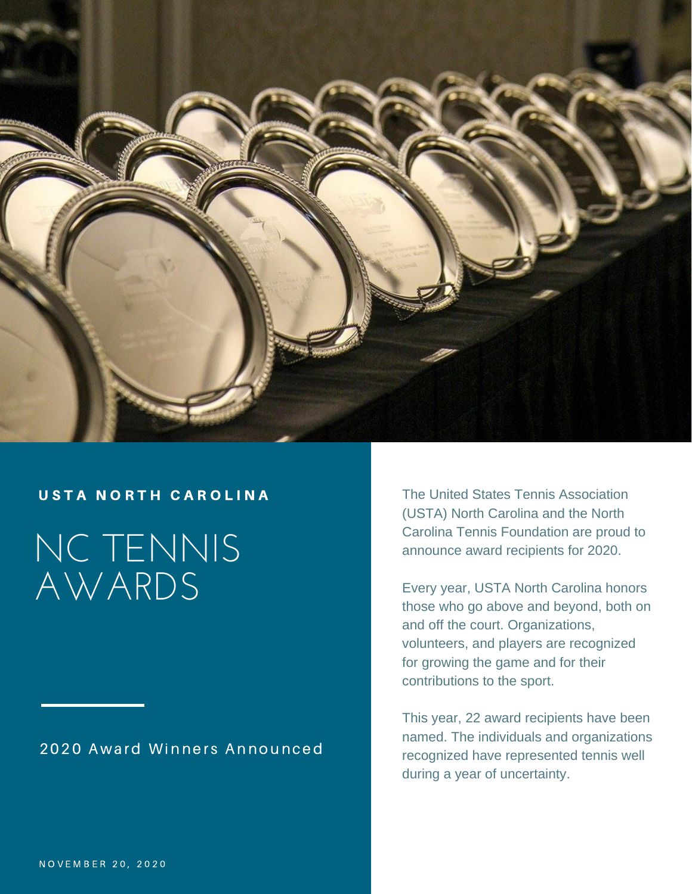

NC TENNIS AWARDS

## 2020 Award Winners Announced

USTA NORTH CAROLINA The United States Tennis Association (USTA) North Carolina and the North Carolina Tennis Foundation are proud to announce award recipients for 2020.

> Every year, USTA North Carolina honors those who go above and beyond, both on and off the court. Organizations, volunteers, and players are recognized for growing the game and for their contributions to the sport.

> This year, 22 award recipients have been named. The individuals and organizations recognized have represented tennis well during a year of uncertainty.